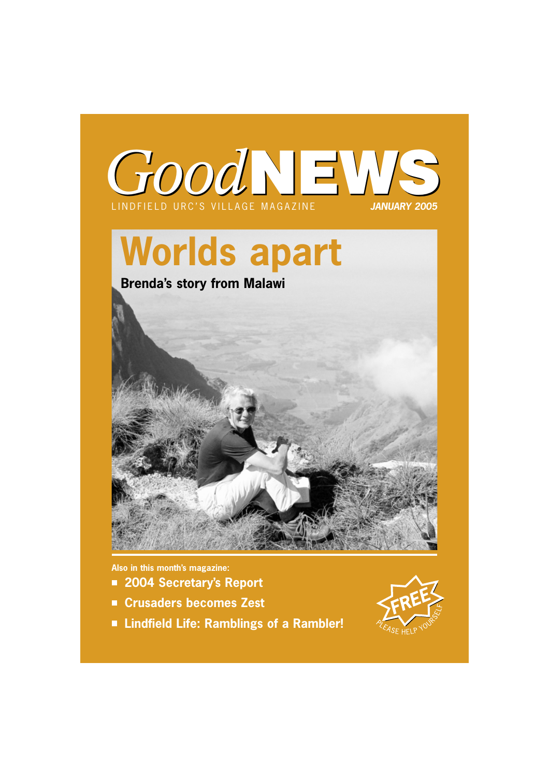

# **Worlds apart**



**Also in this month's magazine:**

- **2004 Secretary's Report**
- **Crusaders becomes Zest**
- **Lindfield Life: Ramblings of a Rambler!**

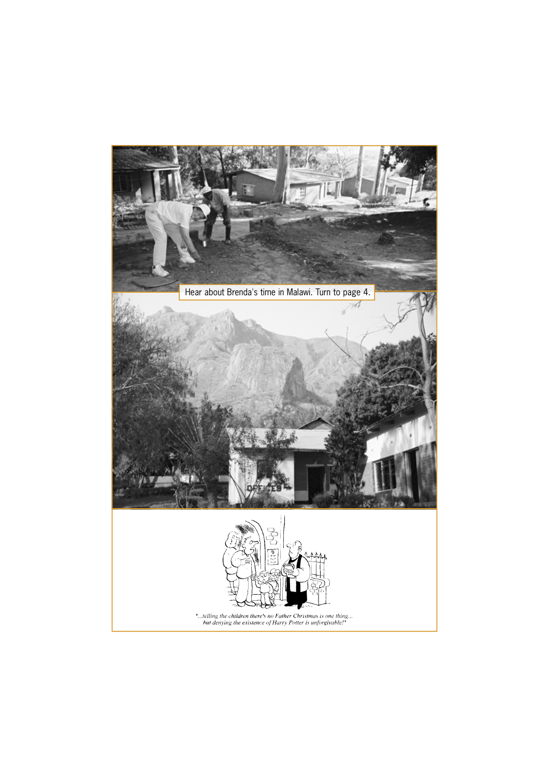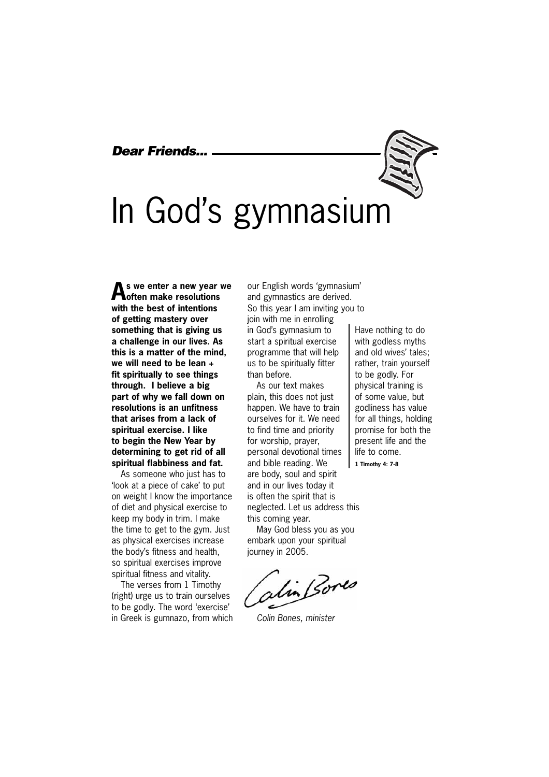# *Dear Friends...*

# In God's gymnasium

**As we enter a new year we often make resolutions with the best of intentions of getting mastery over something that is giving us a challenge in our lives. As this is a matter of the mind, we will need to be lean + fit spiritually to see things through. I believe a big part of why we fall down on resolutions is an unfitness that arises from a lack of spiritual exercise. I like to begin the New Year by determining to get rid of all spiritual flabbiness and fat.**

As someone who just has to 'look at a piece of cake' to put on weight I know the importance of diet and physical exercise to keep my body in trim. I make the time to get to the gym. Just as physical exercises increase the body's fitness and health, so spiritual exercises improve spiritual fitness and vitality.

The verses from 1 Timothy (right) urge us to train ourselves to be godly. The word 'exercise' in Greek is gumnazo, from which our English words 'gymnasium' and gymnastics are derived. So this year I am inviting you to join with me in enrolling in God's gymnasium to start a spiritual exercise programme that will help us to be spiritually fitter than before.

As our text makes plain, this does not just happen. We have to train ourselves for it. We need to find time and priority for worship, prayer, personal devotional times and bible reading. We are body, soul and spirit and in our lives today it is often the spirit that is neglected. Let us address this this coming year.

May God bless you as you embark upon your spiritual journey in 2005.

alin Bores

*Colin Bones, minister* 

Have nothing to do with godless myths and old wives' tales; rather, train yourself to be godly. For physical training is of some value, but godliness has value for all things, holding promise for both the present life and the life to come. **1 Timothy 4: 7-8**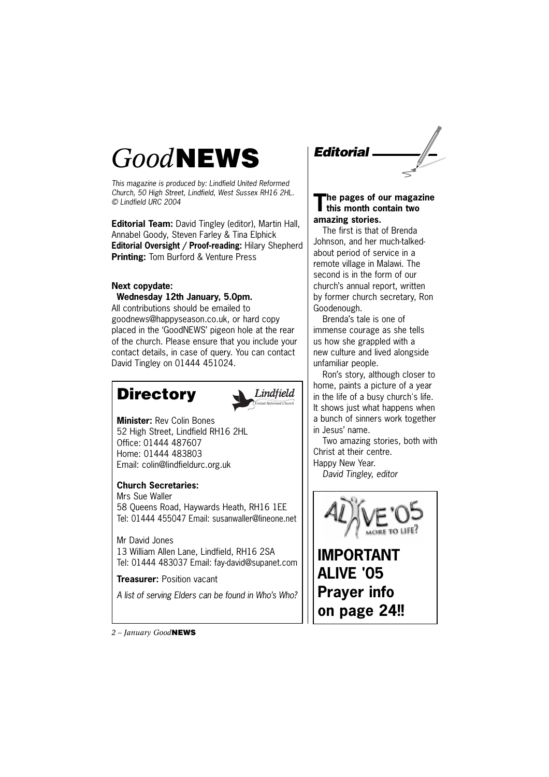# *Good***NEWS**

*This magazine is produced by: Lindfield United Reformed Church, 50 High Street, Lindfield, West Sussex RH16 2HL. © Lindfield URC 2004*

**Editorial Team:** David Tingley (editor), Martin Hall, Annabel Goody, Steven Farley & Tina Elphick **Editorial Oversight / Proof-reading:** Hilary Shepherd **Printing:** Tom Burford & Venture Press

# **Next copydate:**

**Wednesday 12th January, 5.0pm.**  All contributions should be emailed to goodnews@happyseason.co.uk, or hard copy placed in the 'GoodNEWS' pigeon hole at the rear of the church. Please ensure that you include your contact details, in case of query. You can contact David Tingley on 01444 451024.

# **Directory**



**Minister:** Rev Colin Bones 52 High Street, Lindfield RH16 2HL Office: 01444 487607 Home: 01444 483803 Email: colin@lindfieldurc.org.uk

### **Church Secretaries:**

Mrs Sue Waller 58 Queens Road, Haywards Heath, RH16 1EE Tel: 01444 455047 Email: susanwaller@lineone.net

Mr David Jones 13 William Allen Lane, Lindfield, RH16 2SA Tel: 01444 483037 Email: fay-david@supanet.com

**Treasurer:** Position vacant

*A list of serving Elders can be found in Who's Who?*



### **The pages of our magazine this month contain two amazing stories.**

The first is that of Brenda Johnson, and her much-talkedabout period of service in a remote village in Malawi. The second is in the form of our church's annual report, written by former church secretary, Ron Goodenough.

Brenda's tale is one of immense courage as she tells us how she grappled with a new culture and lived alongside unfamiliar people.

Ron's story, although closer to home, paints a picture of a year in the life of a busy church's life. It shows just what happens when a bunch of sinners work together in Jesus' name.

Two amazing stories, both with Christ at their centre.

Happy New Year.

*David Tingley, editor*



**IMPORTANT ALIVE '05 Prayer info on page 24!!**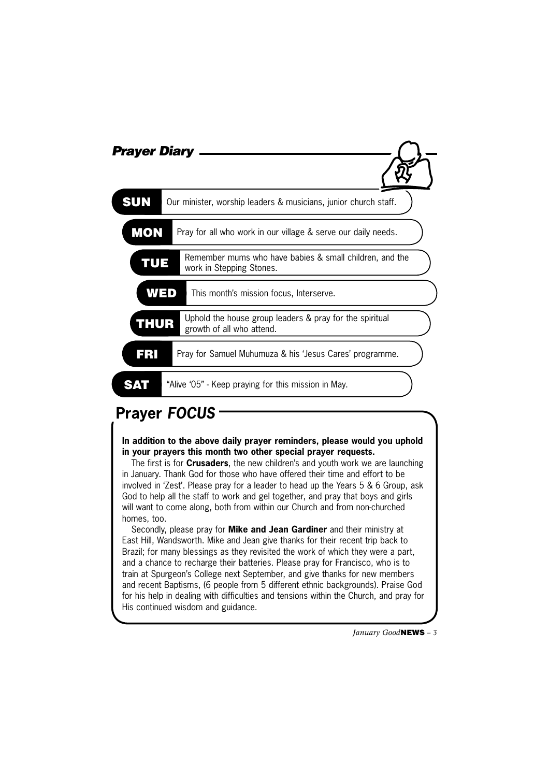| <b>Prayer Diary</b> |                                                                                      |
|---------------------|--------------------------------------------------------------------------------------|
| <b>SUN</b>          | Our minister, worship leaders & musicians, junior church staff.                      |
| <b>MON</b>          | Pray for all who work in our village & serve our daily needs.                        |
| TUE                 | Remember mums who have babies & small children, and the<br>work in Stepping Stones.  |
| WED                 | This month's mission focus, Interserve.                                              |
| <b>THUR</b>         | Uphold the house group leaders & pray for the spiritual<br>growth of all who attend. |
| ERI                 | Pray for Samuel Muhumuza & his 'Jesus Cares' programme.                              |
|                     | "Alive '05" - Keep praying for this mission in May.                                  |

# **Prayer** *FOCUS*

**In addition to the above daily prayer reminders, please would you uphold in your prayers this month two other special prayer requests.**

The first is for **Crusaders**, the new children's and youth work we are launching in January. Thank God for those who have offered their time and effort to be involved in 'Zest'. Please pray for a leader to head up the Years 5 & 6 Group, ask God to help all the staff to work and gel together, and pray that boys and girls will want to come along, both from within our Church and from non-churched homes, too.

Secondly, please pray for **Mike and Jean Gardiner** and their ministry at East Hill, Wandsworth. Mike and Jean give thanks for their recent trip back to Brazil; for many blessings as they revisited the work of which they were a part, and a chance to recharge their batteries. Please pray for Francisco, who is to train at Spurgeon's College next September, and give thanks for new members and recent Baptisms, (6 people from 5 different ethnic backgrounds). Praise God for his help in dealing with difficulties and tensions within the Church, and pray for His continued wisdom and guidance.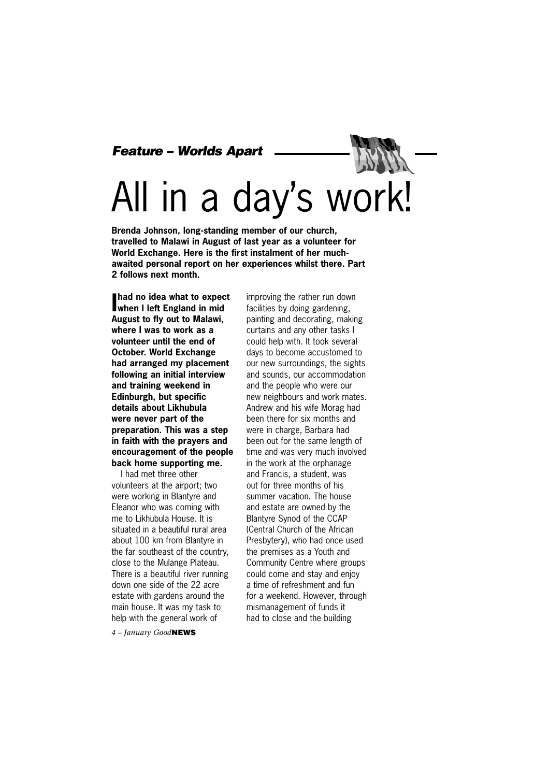### *Feature – Worlds Apart*

# All in a day's work!

**Brenda Johnson, long-standing member of our church, travelled to Malawi in August of last year as a volunteer for World Exchange. Here is the first instalment of her muchawaited personal report on her experiences whilst there. Part 2 follows next month.**

**I had no idea what to expect when I left England in mid August to fly out to Malawi, where I was to work as a volunteer until the end of October. World Exchange had arranged my placement following an initial interview and training weekend in Edinburgh, but specific details about Likhubula were never part of the preparation. This was a step in faith with the prayers and encouragement of the people back home supporting me.** 

I had met three other volunteers at the airport; two were working in Blantyre and Eleanor who was coming with me to Likhubula House. It is situated in a beautiful rural area about 100 km from Blantyre in the far southeast of the country, close to the Mulange Plateau. There is a beautiful river running down one side of the 22 acre estate with gardens around the main house. It was my task to help with the general work of

*4 – January Good***NEWS**

improving the rather run down facilities by doing gardening, painting and decorating, making curtains and any other tasks I could help with. It took several days to become accustomed to our new surroundings, the sights and sounds, our accommodation and the people who were our new neighbours and work mates. Andrew and his wife Morag had been there for six months and were in charge, Barbara had been out for the same length of time and was very much involved in the work at the orphanage and Francis, a student, was out for three months of his summer vacation. The house and estate are owned by the Blantyre Synod of the CCAP (Central Church of the African Presbytery), who had once used the premises as a Youth and Community Centre where groups could come and stay and enjoy a time of refreshment and fun for a weekend. However, through mismanagement of funds it had to close and the building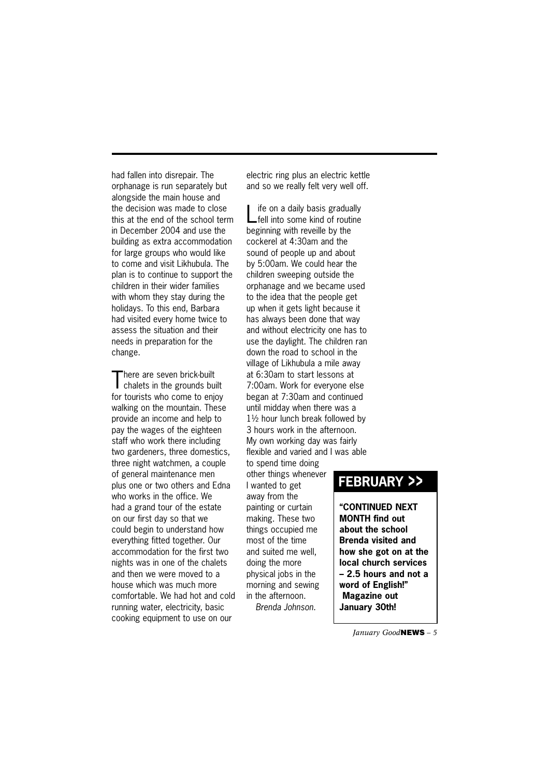had fallen into disrepair. The orphanage is run separately but alongside the main house and the decision was made to close this at the end of the school term in December 2004 and use the building as extra accommodation for large groups who would like to come and visit Likhubula. The plan is to continue to support the children in their wider families with whom they stay during the holidays. To this end, Barbara had visited every home twice to assess the situation and their needs in preparation for the change.

There are seven brick-built<br>
chalets in the grounds built for tourists who come to enjoy walking on the mountain. These provide an income and help to pay the wages of the eighteen staff who work there including two gardeners, three domestics, three night watchmen, a couple of general maintenance men plus one or two others and Edna who works in the office. We had a grand tour of the estate on our first day so that we could begin to understand how everything fitted together. Our accommodation for the first two nights was in one of the chalets and then we were moved to a house which was much more comfortable. We had hot and cold running water, electricity, basic cooking equipment to use on our

electric ring plus an electric kettle and so we really felt very well off.

Life on a daily basis gradually fell into some kind of routine beginning with reveille by the cockerel at 4:30am and the sound of people up and about by 5:00am. We could hear the children sweeping outside the orphanage and we became used to the idea that the people get up when it gets light because it has always been done that way and without electricity one has to use the daylight. The children ran down the road to school in the village of Likhubula a mile away at 6:30am to start lessons at 7:00am. Work for everyone else began at 7:30am and continued until midday when there was a 1½ hour lunch break followed by 3 hours work in the afternoon. My own working day was fairly flexible and varied and I was able to spend time doing

other things whenever I wanted to get away from the painting or curtain making. These two things occupied me most of the time and suited me well, doing the more physical jobs in the morning and sewing in the afternoon. *Brenda Johnson.*

# **FEBRUARY >>**

**"CONTINUED NEXT MONTH find out about the school Brenda visited and how she got on at the local church services – 2.5 hours and not a word of English!" Magazine out January 30th!**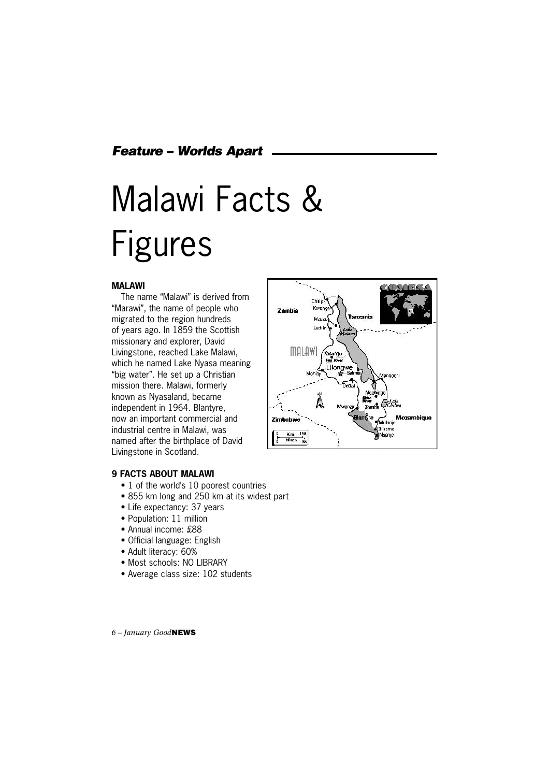*Feature – Worlds Apart*

# Malawi Facts & Figures

#### **MALAWI**

The name "Malawi" is derived from "Marawi", the name of people who migrated to the region hundreds of years ago. In 1859 the Scottish missionary and explorer, David Livingstone, reached Lake Malawi, which he named Lake Nyasa meaning "big water". He set up a Christian mission there. Malawi, formerly known as Nyasaland, became independent in 1964. Blantyre, now an important commercial and industrial centre in Malawi, was named after the birthplace of David Livingstone in Scotland.



#### **9 FACTS ABOUT MALAWI**

- 1 of the world's 10 poorest countries
- 855 km long and 250 km at its widest part
- Life expectancy: 37 years
- Population: 11 million
- Annual income: £88
- Official language: English
- Adult literacy: 60%
- Most schools: NO LIBRARY
- Average class size: 102 students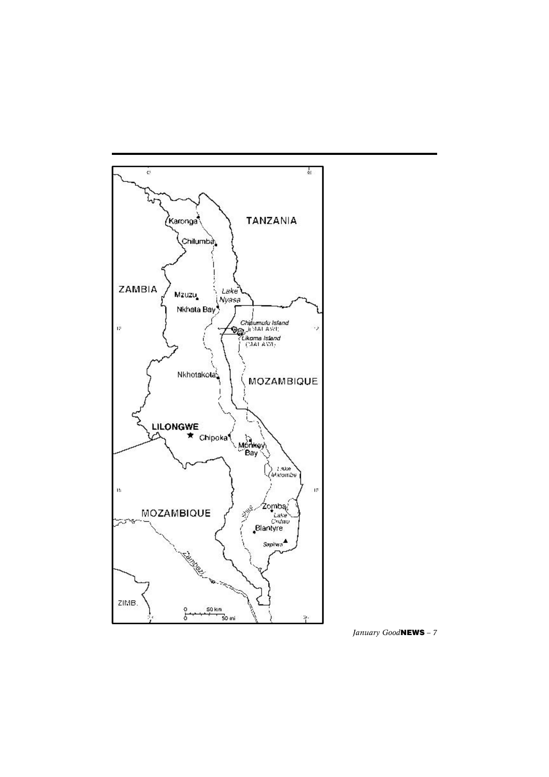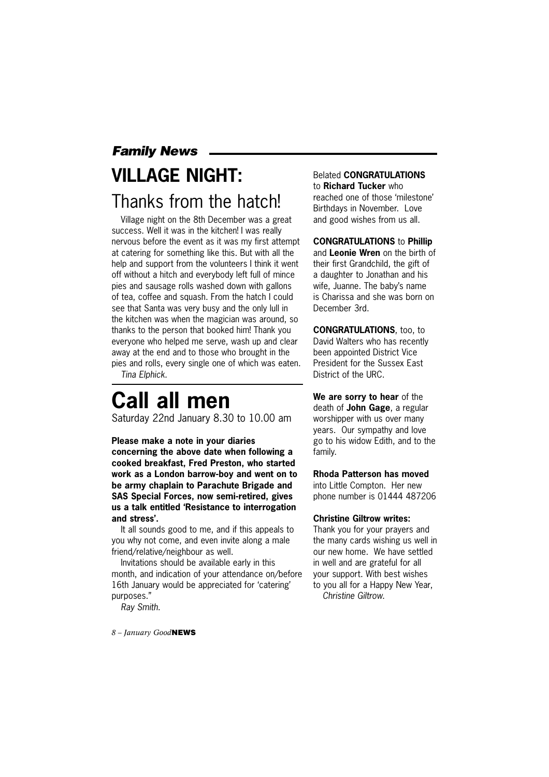# *Family News* **VILLAGE NIGHT:**  Thanks from the hatch!

Village night on the 8th December was a great success. Well it was in the kitchen! I was really nervous before the event as it was my first attempt at catering for something like this. But with all the help and support from the volunteers I think it went off without a hitch and everybody left full of mince pies and sausage rolls washed down with gallons of tea, coffee and squash. From the hatch I could see that Santa was very busy and the only lull in the kitchen was when the magician was around, so thanks to the person that booked him! Thank you everyone who helped me serve, wash up and clear away at the end and to those who brought in the pies and rolls, every single one of which was eaten.

*Tina Elphick.*

# **Call all men**

Saturday 22nd January 8.30 to 10.00 am

**Please make a note in your diaries concerning the above date when following a cooked breakfast, Fred Preston, who started work as a London barrow-boy and went on to be army chaplain to Parachute Brigade and SAS Special Forces, now semi-retired, gives us a talk entitled 'Resistance to interrogation and stress'.**

It all sounds good to me, and if this appeals to you why not come, and even invite along a male friend/relative/neighbour as well.

Invitations should be available early in this month, and indication of your attendance on/before 16th January would be appreciated for 'catering' purposes."

*Ray Smith.*

*8 – January Good***NEWS**

Belated **CONGRATULATIONS** to **Richard Tucker** who reached one of those 'milestone' Birthdays in November. Love and good wishes from us all.

**CONGRATULATIONS** to **Phillip** and **Leonie Wren** on the birth of their first Grandchild, the gift of a daughter to Jonathan and his wife, Juanne. The baby's name is Charissa and she was born on December 3rd.

**CONGRATULATIONS**, too, to David Walters who has recently been appointed District Vice President for the Sussex East District of the URC.

**We are sorry to hear** of the death of **John Gage**, a regular worshipper with us over many years. Our sympathy and love go to his widow Edith, and to the family.

**Rhoda Patterson has moved** into Little Compton. Her new phone number is 01444 487206

#### **Christine Giltrow writes:**

Thank you for your prayers and the many cards wishing us well in our new home. We have settled in well and are grateful for all your support. With best wishes to you all for a Happy New Year, *Christine Giltrow.*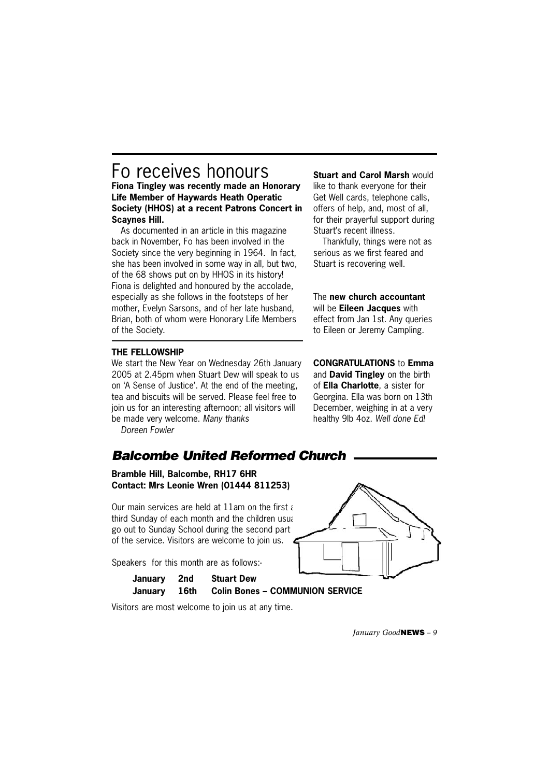# Fo receives honours

**Fiona Tingley was recently made an Honorary Life Member of Haywards Heath Operatic Society (HHOS) at a recent Patrons Concert in Scaynes Hill.**

As documented in an article in this magazine back in November, Fo has been involved in the Society since the very beginning in 1964. In fact, she has been involved in some way in all, but two, of the 68 shows put on by HHOS in its history! Fiona is delighted and honoured by the accolade, especially as she follows in the footsteps of her mother, Evelyn Sarsons, and of her late husband, Brian, both of whom were Honorary Life Members of the Society.

#### **THE FELLOWSHIP**

We start the New Year on Wednesday 26th January 2005 at 2.45pm when Stuart Dew will speak to us on 'A Sense of Justice'. At the end of the meeting, tea and biscuits will be served. Please feel free to join us for an interesting afternoon; all visitors will be made very welcome. *Many thanks*

*Doreen Fowler*

# *Balcombe United Reformed Church*

**Bramble Hill, Balcombe, RH17 6HR Contact: Mrs Leonie Wren (01444 811253)**

Our main services are held at  $11$ am on the first and third Sunday of each month and the children usual go out to Sunday School during the second part of the service. Visitors are welcome to join us.

Speakers for this month are as follows:-

| January 2nd | <b>Stuart Dew</b>                            | __ |
|-------------|----------------------------------------------|----|
|             | January 16th Colin Bones - COMMUNION SERVICE |    |

December, weighing in at a very healthy 9lb 4oz. *Well done Ed!*



Visitors are most welcome to join us at any time.

**Stuart and Carol Marsh would** like to thank everyone for their Get Well cards, telephone calls, offers of help, and, most of all, for their prayerful support during Stuart's recent illness.

Thankfully, things were not as serious as we first feared and Stuart is recovering well.

The **new church accountant** will be **Eileen Jacques** with effect from Jan 1st. Any queries to Eileen or Jeremy Campling.

**CONGRATULATIONS** to **Emma** and **David Tingley** on the birth of **Ella Charlotte**, a sister for Georgina. Ella was born on 13th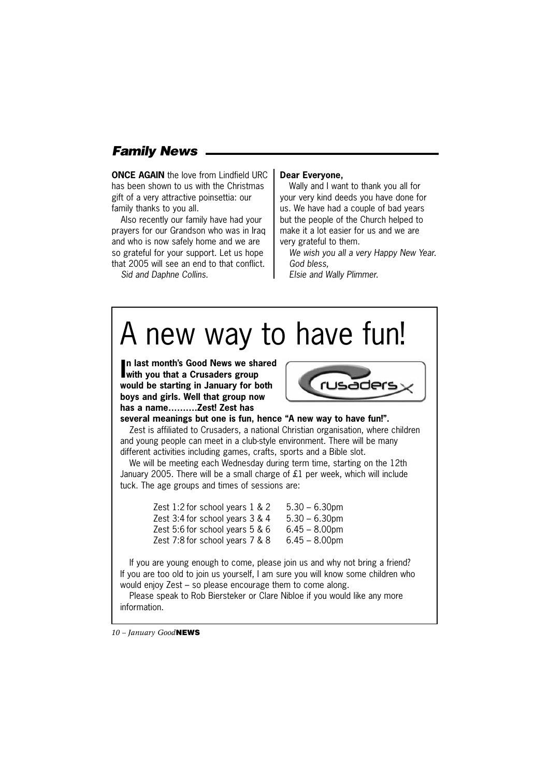# *Family News*

**ONCE AGAIN** the love from Lindfield URC has been shown to us with the Christmas gift of a very attractive poinsettia: our family thanks to you all.

Also recently our family have had your prayers for our Grandson who was in Iraq and who is now safely home and we are so grateful for your support. Let us hope that 2005 will see an end to that conflict.

*Sid and Daphne Collins.*

#### **Dear Everyone,**

Wally and I want to thank you all for your very kind deeds you have done for us. We have had a couple of bad years but the people of the Church helped to make it a lot easier for us and we are very grateful to them.

*We wish you all a very Happy New Year. God bless,*

*Elsie and Wally Plimmer.*

# A new way to have fun!

**I n last month's Good News we shared with you that a Crusaders group would be starting in January for both boys and girls. Well that group now has a name……….Zest! Zest has** 



**several meanings but one is fun, hence "A new way to have fun!".**

Zest is affiliated to Crusaders, a national Christian organisation, where children and young people can meet in a club-style environment. There will be many different activities including games, crafts, sports and a Bible slot.

We will be meeting each Wednesday during term time, starting on the 12th January 2005. There will be a small charge of £1 per week, which will include tuck. The age groups and times of sessions are:

| Zest 1:2 for school years 1 & 2 | $5.30 - 6.30$ pm |
|---------------------------------|------------------|
| Zest 3:4 for school years 3 & 4 | $5.30 - 6.30$ pm |
| Zest 5:6 for school years 5 & 6 | $6.45 - 8.00$ pm |
| Zest 7:8 for school years 7 & 8 | $6.45 - 8.00$ pm |

If you are young enough to come, please join us and why not bring a friend? If you are too old to join us yourself, I am sure you will know some children who would enjoy Zest – so please encourage them to come along.

Please speak to Rob Biersteker or Clare Nibloe if you would like any more information.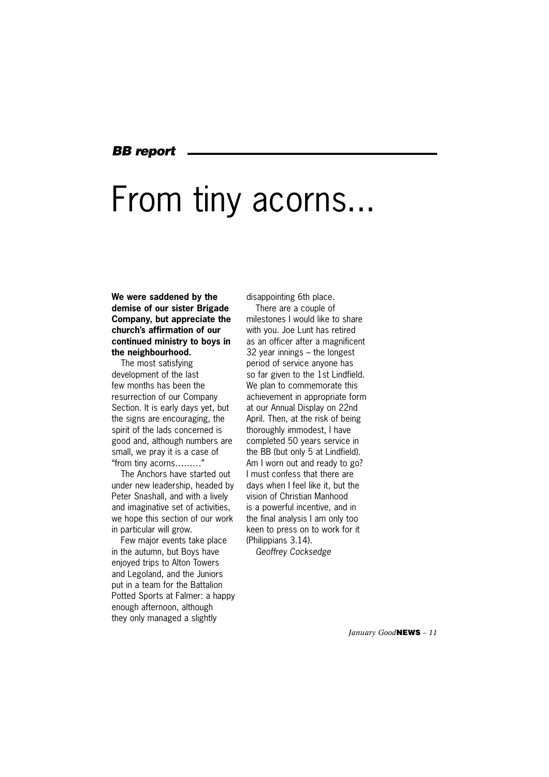### *BB report*

# From tiny acorns...

#### **We were saddened by the demise of our sister Brigade Company, but appreciate the church's affirmation of our continued ministry to boys in the neighbourhood.**

The most satisfying development of the last few months has been the resurrection of our Company Section. It is early days yet, but the signs are encouraging, the spirit of the lads concerned is good and, although numbers are small, we pray it is a case of "from tiny acorns………"

The Anchors have started out under new leadership, headed by Peter Snashall, and with a lively and imaginative set of activities, we hope this section of our work in particular will grow.

Few major events take place in the autumn, but Boys have enjoyed trips to Alton Towers and Legoland, and the Juniors put in a team for the Battalion Potted Sports at Falmer: a happy enough afternoon, although they only managed a slightly

disappointing 6th place.

There are a couple of milestones I would like to share with you. Joe Lunt has retired as an officer after a magnificent 32 year innings – the longest period of service anyone has so far given to the 1st Lindfield. We plan to commemorate this achievement in appropriate form at our Annual Display on 22nd April. Then, at the risk of being thoroughly immodest, I have completed 50 years service in the BB (but only 5 at Lindfield). Am I worn out and ready to go? I must confess that there are days when I feel like it, but the vision of Christian Manhood is a powerful incentive, and in the final analysis I am only too keen to press on to work for it (Philippians 3.14).

*Geoffrey Cocksedge*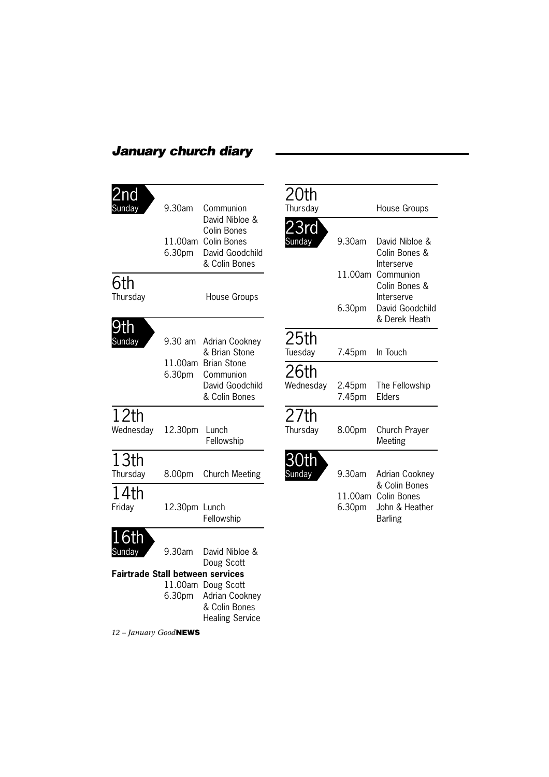# *January church diary*

| 2nd<br>sunda                                      | 9.30am<br>11.00am<br>6.30pm  | Communion<br>David Nibloe &<br>Colin Bones<br>Colin Bones<br>David Goodchild<br>& Colin Bones                          | $\frac{2}{3}$                                             |
|---------------------------------------------------|------------------------------|------------------------------------------------------------------------------------------------------------------------|-----------------------------------------------------------|
| 6th<br>Thursday                                   |                              | House Groups                                                                                                           |                                                           |
| Sunday                                            | 9.30 am<br>11.00am<br>6.30pm | Adrian Cookney<br>& Brian Stone<br><b>Brian Stone</b><br>Communion<br>David Goodchild<br>& Colin Bones                 | $\begin{array}{c} 1 \\ 2 \\ 1 \\ 2 \\ 3 \\ 4 \end{array}$ |
| 12th<br>Wednesday                                 | 12.30pm                      | Lunch<br>Fellowship                                                                                                    | $\frac{1}{4}$                                             |
| 13th<br>Thursday                                  | 8.00pm                       | <b>Church Meeting</b>                                                                                                  | $\frac{1}{2}$                                             |
| 14th<br>Friday                                    | 12.30pm Lunch                | Fellowship                                                                                                             |                                                           |
| Sunday<br><b>Fairtrade Stall between services</b> | 9.30am<br>6.30 <sub>pm</sub> | David Nibloe &<br>Doug Scott<br>11.00am Doug Scott<br><b>Adrian Cookney</b><br>& Colin Bones<br><b>Healing Service</b> |                                                           |

| 20th                        |                   |                                                                  |
|-----------------------------|-------------------|------------------------------------------------------------------|
| Thursday                    |                   | <b>House Groups</b>                                              |
| 23rd<br>Sunday              | 9.30am            | David Nibloe &<br>Colin Bones &                                  |
|                             | 11.00am           | Interserve<br>Communion<br>Colin Bones &                         |
|                             | 6.30pm            | Interserve<br>David Goodchild<br>& Derek Heath                   |
| 25 <sub>th</sub><br>Tuesday | 7.45pm            | In Touch                                                         |
| 26th<br>Wednesday           | 2.45pm<br>7.45pm  | The Fellowship<br>Elders                                         |
| 27th<br>Thursday            | 8.00pm            | Church Prayer<br>Meeting                                         |
| 30tl<br>Sunday              | 9.30am            | Adrian Cookney                                                   |
|                             | 11.00am<br>6.30pm | & Colin Bones<br>Colin Bones<br>John & Heather<br><b>Barling</b> |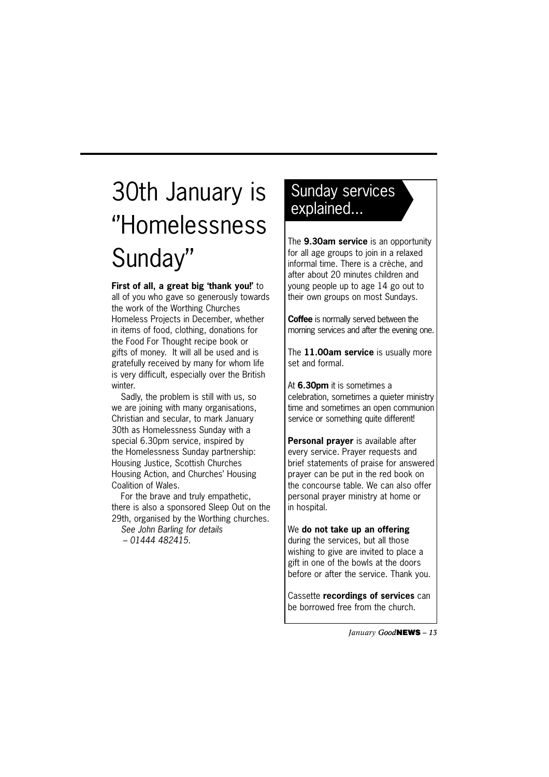# 30th January is ''Homelessness Sunday''

**First of all, a great big 'thank you!'** to all of you who gave so generously towards the work of the Worthing Churches Homeless Projects in December, whether in items of food, clothing, donations for the Food For Thought recipe book or gifts of money. It will all be used and is gratefully received by many for whom life is very difficult, especially over the British winter.

Sadly, the problem is still with us, so we are joining with many organisations, Christian and secular, to mark January 30th as Homelessness Sunday with a special 6.30pm service, inspired by the Homelessness Sunday partnership: Housing Justice, Scottish Churches Housing Action, and Churches' Housing Coalition of Wales.

For the brave and truly empathetic, there is also a sponsored Sleep Out on the 29th, organised by the Worthing churches.

*See John Barling for details – 01444 482415.*

# Sunday services explained...

The **9.30am service** is an opportunity for all age groups to join in a relaxed informal time. There is a crèche, and after about 20 minutes children and young people up to age 14 go out to their own groups on most Sundays.

**Coffee** is normally served between the morning services and after the evening one.

The **11.00am service** is usually more set and formal.

At **6.30pm** it is sometimes a celebration, sometimes a quieter ministry time and sometimes an open communion service or something quite different!

**Personal prayer** is available after every service. Prayer requests and brief statements of praise for answered prayer can be put in the red book on the concourse table. We can also offer personal prayer ministry at home or in hospital.

### We **do not take up an offering**

during the services, but all those wishing to give are invited to place a gift in one of the bowls at the doors before or after the service. Thank you.

Cassette **recordings of services** can be borrowed free from the church.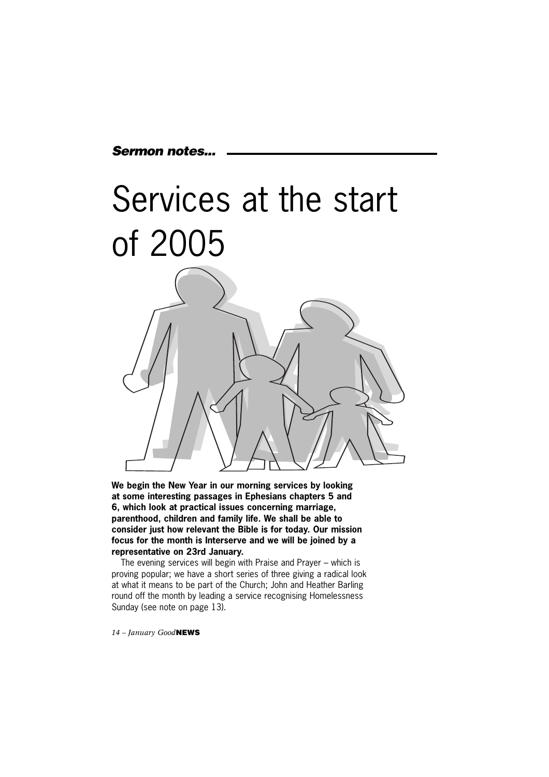# *Sermon notes...*



**We begin the New Year in our morning services by looking at some interesting passages in Ephesians chapters 5 and 6, which look at practical issues concerning marriage, parenthood, children and family life. We shall be able to consider just how relevant the Bible is for today. Our mission focus for the month is Interserve and we will be joined by a representative on 23rd January.**

The evening services will begin with Praise and Prayer – which is proving popular; we have a short series of three giving a radical look at what it means to be part of the Church; John and Heather Barling round off the month by leading a service recognising Homelessness Sunday (see note on page 13).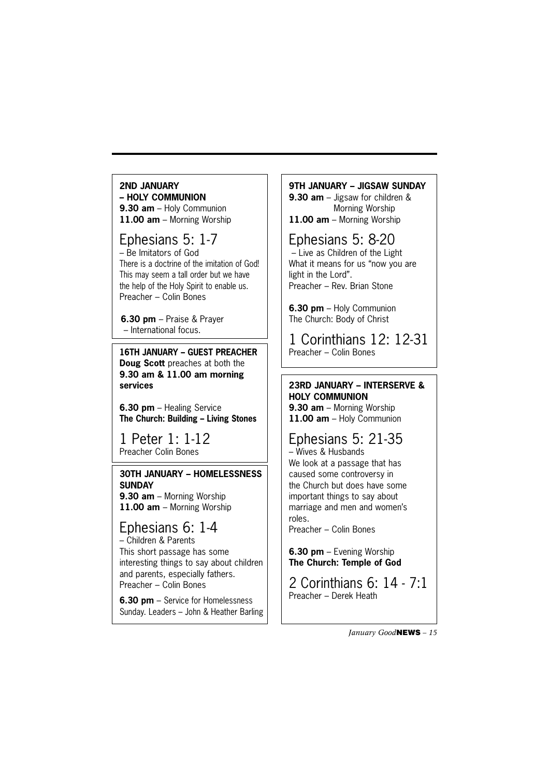#### **2ND JANUARY – HOLY COMMUNION 9.30 am** – Holy Communion **11.00 am** – Morning Worship

# Ephesians 5: 1-7

– Be Imitators of God There is a doctrine of the imitation of God! This may seem a tall order but we have the help of the Holy Spirit to enable us. Preacher – Colin Bones

**6.30 pm** – Praise & Prayer – International focus.

**16TH JANUARY – GUEST PREACHER Doug Scott** preaches at both the **9.30 am & 11.00 am morning services**

**6.30 pm** – Healing Service **The Church: Building – Living Stones**

1 Peter 1: 1-12 Preacher Colin Bones

**30TH JANUARY – HOMELESSNESS SUNDAY 9.30 am** – Morning Worship **11.00 am** – Morning Worship

# Ephesians 6: 1-4

– Children & Parents This short passage has some interesting things to say about children and parents, especially fathers. Preacher – Colin Bones

**6.30 pm** – Service for Homelessness Sunday. Leaders – John & Heather Barling

### **9TH JANUARY – JIGSAW SUNDAY**

**9.30 am** – Jigsaw for children & Morning Worship **11.00 am** – Morning Worship

# Ephesians 5: 8-20

 – Live as Children of the Light What it means for us "now you are light in the Lord". Preacher – Rev. Brian Stone

**6.30 pm** – Holy Communion The Church: Body of Christ

1 Corinthians 12: 12-31<br>Preacher – Colin Bones

# **23RD JANUARY – INTERSERVE & HOLY COMMUNION 9.30 am** – Morning Worship

**11.00 am** – Holy Communion

### Ephesians 5: 21-35 – Wives & Husbands

We look at a passage that has caused some controversy in the Church but does have some important things to say about marriage and men and women's roles.

Preacher – Colin Bones

### **6.30 pm** – Evening Worship **The Church: Temple of God**

2 Corinthians 6: 14 - 7:1 Preacher – Derek Heath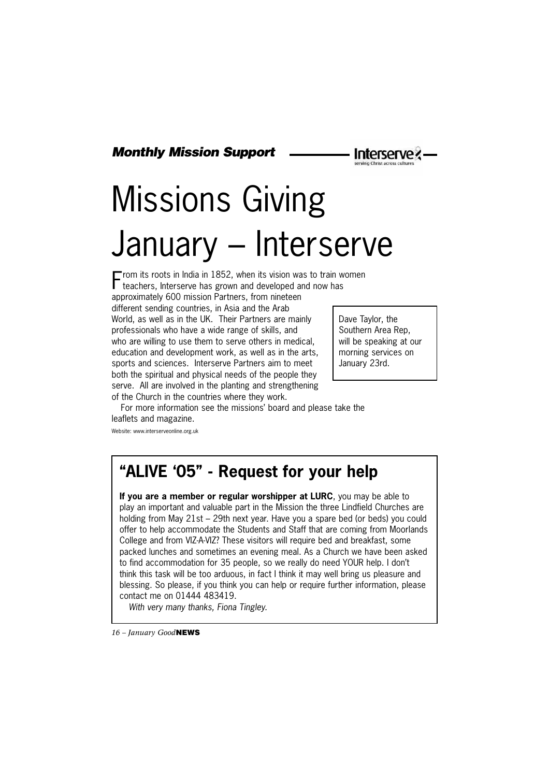*Monthly Mission Support*

# Missions Giving January – Interserve

From its roots in India in 1852, when its vision was to train women teachers, Interserve has grown and developed and now has approximately 600 mission Partners, from nineteen different sending countries, in Asia and the Arab World, as well as in the UK. Their Partners are mainly professionals who have a wide range of skills, and who are willing to use them to serve others in medical, education and development work, as well as in the arts, sports and sciences. Interserve Partners aim to meet both the spiritual and physical needs of the people they serve. All are involved in the planting and strengthening of the Church in the countries where they work.

Dave Taylor, the Southern Area Rep, will be speaking at our morning services on January 23rd.

**Interserve** 

For more information see the missions' board and please take the leaflets and magazine.

Website: www.interserveonline.org.uk

# **"ALIVE '05" - Request for your help**

**If you are a member or regular worshipper at LURC**, you may be able to play an important and valuable part in the Mission the three Lindfield Churches are holding from May 21st – 29th next year. Have you a spare bed (or beds) you could offer to help accommodate the Students and Staff that are coming from Moorlands College and from VIZ-A-VIZ? These visitors will require bed and breakfast, some packed lunches and sometimes an evening meal. As a Church we have been asked to find accommodation for 35 people, so we really do need YOUR help. I don't think this task will be too arduous, in fact I think it may well bring us pleasure and blessing. So please, if you think you can help or require further information, please contact me on 01444 483419.

*With very many thanks, Fiona Tingley.*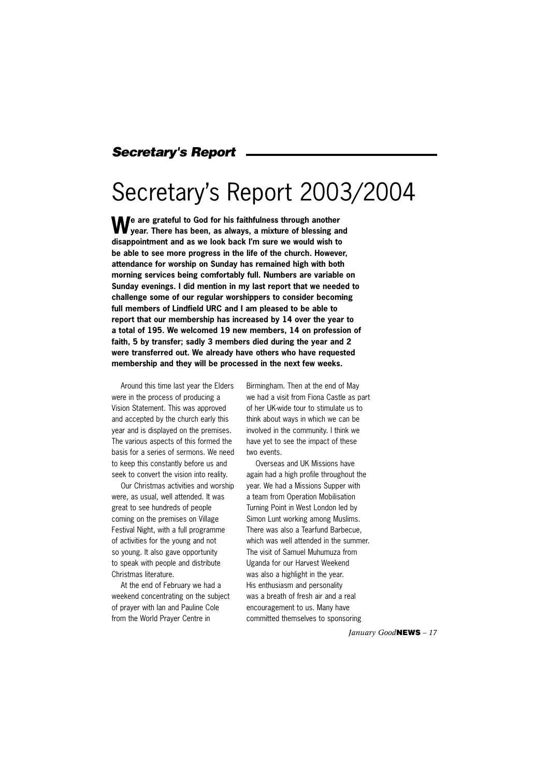# *Secretary's Report*

# Secretary's Report 2003/2004

**We are grateful to God for his faithfulness through another year. There has been, as always, a mixture of blessing and disappointment and as we look back I'm sure we would wish to be able to see more progress in the life of the church. However, attendance for worship on Sunday has remained high with both morning services being comfortably full. Numbers are variable on Sunday evenings. I did mention in my last report that we needed to challenge some of our regular worshippers to consider becoming full members of Lindfield URC and I am pleased to be able to report that our membership has increased by 14 over the year to a total of 195. We welcomed 19 new members, 14 on profession of faith, 5 by transfer; sadly 3 members died during the year and 2 were transferred out. We already have others who have requested membership and they will be processed in the next few weeks.**

Around this time last year the Elders were in the process of producing a Vision Statement. This was approved and accepted by the church early this year and is displayed on the premises. The various aspects of this formed the basis for a series of sermons. We need to keep this constantly before us and seek to convert the vision into reality.

Our Christmas activities and worship were, as usual, well attended. It was great to see hundreds of people coming on the premises on Village Festival Night, with a full programme of activities for the young and not so young. It also gave opportunity to speak with people and distribute Christmas literature.

At the end of February we had a weekend concentrating on the subject of prayer with Ian and Pauline Cole from the World Prayer Centre in

Birmingham. Then at the end of May we had a visit from Fiona Castle as part of her UK-wide tour to stimulate us to think about ways in which we can be involved in the community. I think we have yet to see the impact of these two events.

Overseas and UK Missions have again had a high profile throughout the year. We had a Missions Supper with a team from Operation Mobilisation Turning Point in West London led by Simon Lunt working among Muslims. There was also a Tearfund Barbecue, which was well attended in the summer. The visit of Samuel Muhumuza from Uganda for our Harvest Weekend was also a highlight in the year. His enthusiasm and personality was a breath of fresh air and a real encouragement to us. Many have committed themselves to sponsoring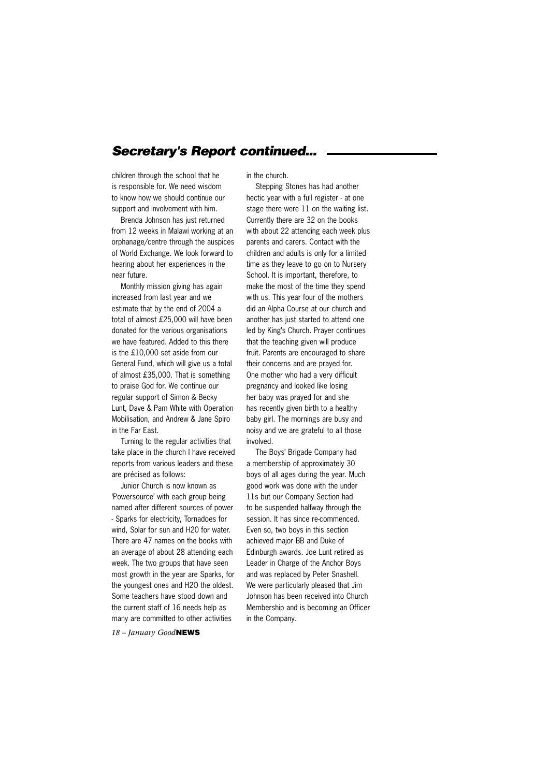# *Secretary's Report continued...*

children through the school that he is responsible for. We need wisdom to know how we should continue our support and involvement with him.

Brenda Johnson has just returned from 12 weeks in Malawi working at an orphanage/centre through the auspices of World Exchange. We look forward to hearing about her experiences in the near future.

Monthly mission giving has again increased from last year and we estimate that by the end of 2004 a total of almost £25,000 will have been donated for the various organisations we have featured. Added to this there is the £10,000 set aside from our General Fund, which will give us a total of almost £35,000. That is something to praise God for. We continue our regular support of Simon & Becky Lunt, Dave & Pam White with Operation Mobilisation, and Andrew & Jane Spiro in the Far East.

Turning to the regular activities that take place in the church I have received reports from various leaders and these are précised as follows:

Junior Church is now known as 'Powersource' with each group being named after different sources of power - Sparks for electricity, Tornadoes for wind, Solar for sun and H20 for water. There are 47 names on the books with an average of about 28 attending each week. The two groups that have seen most growth in the year are Sparks, for the youngest ones and H2O the oldest. Some teachers have stood down and the current staff of 16 needs help as many are committed to other activities

*18 – January Good***NEWS**

in the church.

Stepping Stones has had another hectic year with a full register - at one stage there were 11 on the waiting list. Currently there are 32 on the books with about 22 attending each week plus parents and carers. Contact with the children and adults is only for a limited time as they leave to go on to Nursery School. It is important, therefore, to make the most of the time they spend with us. This year four of the mothers did an Alpha Course at our church and another has just started to attend one led by King's Church. Prayer continues that the teaching given will produce fruit. Parents are encouraged to share their concerns and are prayed for. One mother who had a very difficult pregnancy and looked like losing her baby was prayed for and she has recently given birth to a healthy baby girl. The mornings are busy and noisy and we are grateful to all those involved.

The Boys' Brigade Company had a membership of approximately 30 boys of all ages during the year. Much good work was done with the under 11s but our Company Section had to be suspended halfway through the session. It has since re-commenced. Even so, two boys in this section achieved major BB and Duke of Edinburgh awards. Joe Lunt retired as Leader in Charge of the Anchor Boys and was replaced by Peter Snashell. We were particularly pleased that Jim Johnson has been received into Church Membership and is becoming an Officer in the Company.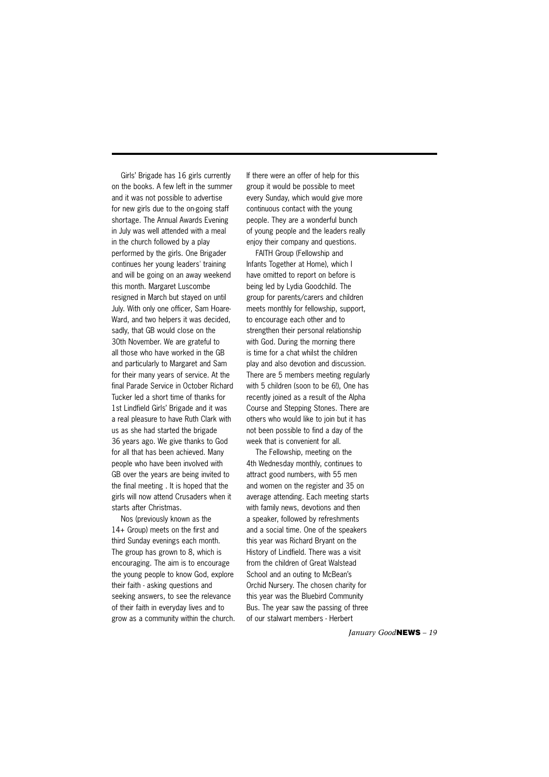Girls' Brigade has 16 girls currently on the books. A few left in the summer and it was not possible to advertise for new girls due to the on-going staff shortage. The Annual Awards Evening in July was well attended with a meal in the church followed by a play performed by the girls. One Brigader continues her young leaders' training and will be going on an away weekend this month. Margaret Luscombe resigned in March but stayed on until July. With only one officer, Sam Hoare-Ward, and two helpers it was decided, sadly, that GB would close on the 30th November. We are grateful to all those who have worked in the GB and particularly to Margaret and Sam for their many years of service. At the final Parade Service in October Richard Tucker led a short time of thanks for 1st Lindfield Girls' Brigade and it was a real pleasure to have Ruth Clark with us as she had started the brigade 36 years ago. We give thanks to God for all that has been achieved. Many people who have been involved with GB over the years are being invited to the final meeting . It is hoped that the girls will now attend Crusaders when it starts after Christmas.

Nos (previously known as the 14+ Group) meets on the first and third Sunday evenings each month. The group has grown to 8, which is encouraging. The aim is to encourage the young people to know God, explore their faith - asking questions and seeking answers, to see the relevance of their faith in everyday lives and to grow as a community within the church. If there were an offer of help for this group it would be possible to meet every Sunday, which would give more continuous contact with the young people. They are a wonderful bunch of young people and the leaders really enjoy their company and questions.

FAITH Group (Fellowship and Infants Together at Home), which I have omitted to report on before is being led by Lydia Goodchild. The group for parents/carers and children meets monthly for fellowship, support, to encourage each other and to strengthen their personal relationship with God. During the morning there is time for a chat whilst the children play and also devotion and discussion. There are 5 members meeting regularly with 5 children (soon to be 6!), One has recently joined as a result of the Alpha Course and Stepping Stones. There are others who would like to join but it has not been possible to find a day of the week that is convenient for all.

The Fellowship, meeting on the 4th Wednesday monthly, continues to attract good numbers, with 55 men and women on the register and 35 on average attending. Each meeting starts with family news, devotions and then a speaker, followed by refreshments and a social time. One of the speakers this year was Richard Bryant on the History of Lindfield. There was a visit from the children of Great Walstead School and an outing to McBean's Orchid Nursery. The chosen charity for this year was the Bluebird Community Bus. The year saw the passing of three of our stalwart members - Herbert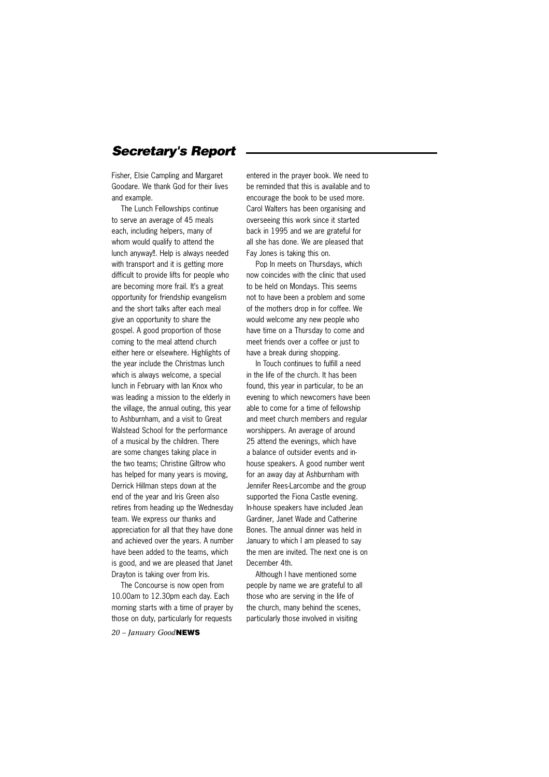# *Secretary's Report*

Fisher, Elsie Campling and Margaret Goodare. We thank God for their lives and example.

The Lunch Fellowships continue to serve an average of 45 meals each, including helpers, many of whom would qualify to attend the lunch anyway!!. Help is always needed with transport and it is getting more difficult to provide lifts for people who are becoming more frail. It's a great opportunity for friendship evangelism and the short talks after each meal give an opportunity to share the gospel. A good proportion of those coming to the meal attend church either here or elsewhere. Highlights of the year include the Christmas lunch which is always welcome, a special lunch in February with Ian Knox who was leading a mission to the elderly in the village, the annual outing, this year to Ashburnham, and a visit to Great Walstead School for the performance of a musical by the children. There are some changes taking place in the two teams; Christine Giltrow who has helped for many years is moving, Derrick Hillman steps down at the end of the year and Iris Green also retires from heading up the Wednesday team. We express our thanks and appreciation for all that they have done and achieved over the years. A number have been added to the teams, which is good, and we are pleased that Janet Drayton is taking over from Iris.

The Concourse is now open from 10.00am to 12.30pm each day. Each morning starts with a time of prayer by those on duty, particularly for requests

*20 – January Good***NEWS**

entered in the prayer book. We need to be reminded that this is available and to encourage the book to be used more. Carol Walters has been organising and overseeing this work since it started back in 1995 and we are grateful for all she has done. We are pleased that Fay Jones is taking this on.

Pop In meets on Thursdays, which now coincides with the clinic that used to be held on Mondays. This seems not to have been a problem and some of the mothers drop in for coffee. We would welcome any new people who have time on a Thursday to come and meet friends over a coffee or just to have a break during shopping.

In Touch continues to fulfill a need in the life of the church. It has been found, this year in particular, to be an evening to which newcomers have been able to come for a time of fellowship and meet church members and regular worshippers. An average of around 25 attend the evenings, which have a balance of outsider events and inhouse speakers. A good number went for an away day at Ashburnham with Jennifer Rees-Larcombe and the group supported the Fiona Castle evening. In-house speakers have included Jean Gardiner, Janet Wade and Catherine Bones. The annual dinner was held in January to which I am pleased to say the men are invited. The next one is on December 4th.

Although I have mentioned some people by name we are grateful to all those who are serving in the life of the church, many behind the scenes, particularly those involved in visiting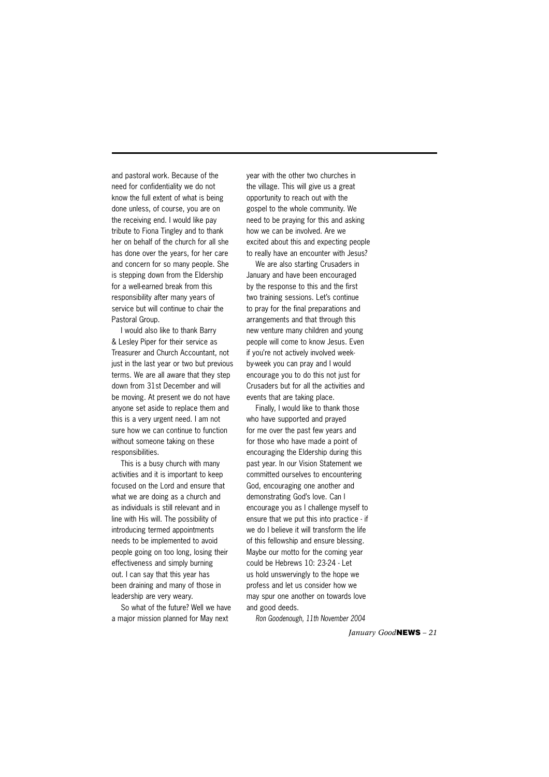and pastoral work. Because of the need for confidentiality we do not know the full extent of what is being done unless, of course, you are on the receiving end. I would like pay tribute to Fiona Tingley and to thank her on behalf of the church for all she has done over the years, for her care and concern for so many people. She is stepping down from the Eldership for a well-earned break from this responsibility after many years of service but will continue to chair the Pastoral Group.

I would also like to thank Barry & Lesley Piper for their service as Treasurer and Church Accountant, not just in the last year or two but previous terms. We are all aware that they step down from 31st December and will be moving. At present we do not have anyone set aside to replace them and this is a very urgent need. I am not sure how we can continue to function without someone taking on these responsibilities.

This is a busy church with many activities and it is important to keep focused on the Lord and ensure that what we are doing as a church and as individuals is still relevant and in line with His will. The possibility of introducing termed appointments needs to be implemented to avoid people going on too long, losing their effectiveness and simply burning out. I can say that this year has been draining and many of those in leadership are very weary.

So what of the future? Well we have a major mission planned for May next

year with the other two churches in the village. This will give us a great opportunity to reach out with the gospel to the whole community. We need to be praying for this and asking how we can be involved. Are we excited about this and expecting people to really have an encounter with Jesus?

We are also starting Crusaders in January and have been encouraged by the response to this and the first two training sessions. Let's continue to pray for the final preparations and arrangements and that through this new venture many children and young people will come to know Jesus. Even if you're not actively involved weekby-week you can pray and I would encourage you to do this not just for Crusaders but for all the activities and events that are taking place.

Finally, I would like to thank those who have supported and prayed for me over the past few years and for those who have made a point of encouraging the Eldership during this past year. In our Vision Statement we committed ourselves to encountering God, encouraging one another and demonstrating God's love. Can I encourage you as I challenge myself to ensure that we put this into practice - if we do I believe it will transform the life of this fellowship and ensure blessing. Maybe our motto for the coming year could be Hebrews 10: 23-24 - Let us hold unswervingly to the hope we profess and let us consider how we may spur one another on towards love and good deeds.

*Ron Goodenough, 11th November 2004*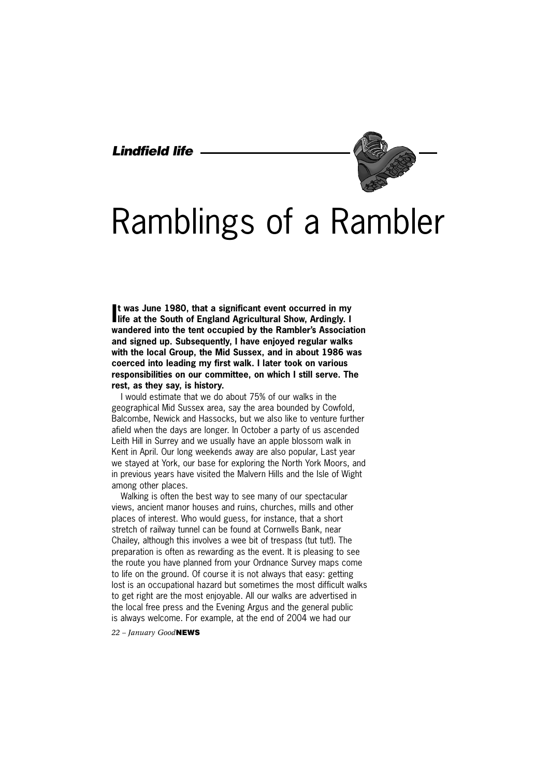## *Lindfield life*



# Ramblings of a Rambler

It was June 1980, that a significant event occurred in my life at the South of England Agricultural Show, Ardingly. I **t was June 1980, that a significant event occurred in my wandered into the tent occupied by the Rambler's Association and signed up. Subsequently, I have enjoyed regular walks with the local Group, the Mid Sussex, and in about 1986 was coerced into leading my first walk. I later took on various responsibilities on our committee, on which I still serve. The rest, as they say, is history.**

I would estimate that we do about 75% of our walks in the geographical Mid Sussex area, say the area bounded by Cowfold, Balcombe, Newick and Hassocks, but we also like to venture further afield when the days are longer. In October a party of us ascended Leith Hill in Surrey and we usually have an apple blossom walk in Kent in April. Our long weekends away are also popular, Last year we stayed at York, our base for exploring the North York Moors, and in previous years have visited the Malvern Hills and the Isle of Wight among other places.

Walking is often the best way to see many of our spectacular views, ancient manor houses and ruins, churches, mills and other places of interest. Who would guess, for instance, that a short stretch of railway tunnel can be found at Cornwells Bank, near Chailey, although this involves a wee bit of trespass (tut tut!). The preparation is often as rewarding as the event. It is pleasing to see the route you have planned from your Ordnance Survey maps come to life on the ground. Of course it is not always that easy: getting lost is an occupational hazard but sometimes the most difficult walks to get right are the most enjoyable. All our walks are advertised in the local free press and the Evening Argus and the general public is always welcome. For example, at the end of 2004 we had our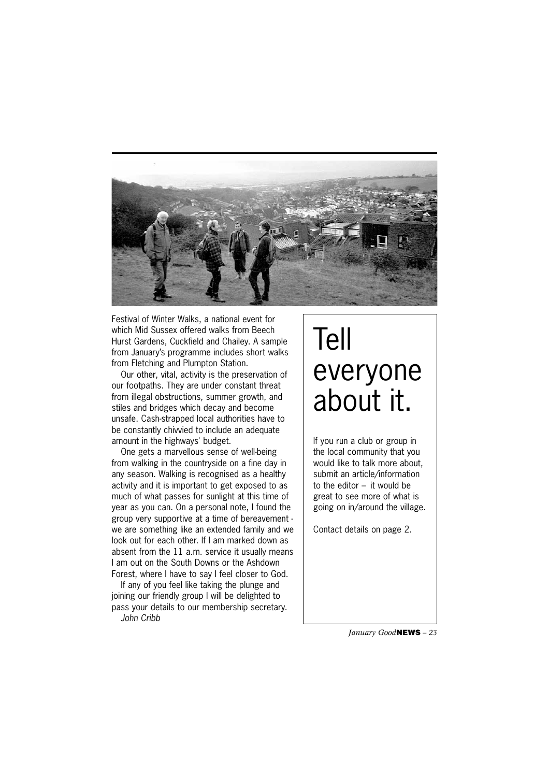

Festival of Winter Walks, a national event for which Mid Sussex offered walks from Beech Hurst Gardens, Cuckfield and Chailey. A sample from January's programme includes short walks from Fletching and Plumpton Station.

Our other, vital, activity is the preservation of our footpaths. They are under constant threat from illegal obstructions, summer growth, and stiles and bridges which decay and become unsafe. Cash-strapped local authorities have to be constantly chivvied to include an adequate amount in the highways' budget.

One gets a marvellous sense of well-being from walking in the countryside on a fine day in any season. Walking is recognised as a healthy activity and it is important to get exposed to as much of what passes for sunlight at this time of year as you can. On a personal note, I found the group very supportive at a time of bereavement we are something like an extended family and we look out for each other. If I am marked down as absent from the 11 a.m. service it usually means I am out on the South Downs or the Ashdown Forest, where I have to say I feel closer to God.

If any of you feel like taking the plunge and joining our friendly group I will be delighted to pass your details to our membership secretary. *John Cribb*

# Tell everyone about it.

If you run a club or group in the local community that you would like to talk more about, submit an article/information to the editor – it would be great to see more of what is going on in/around the village.

Contact details on page 2.

*January Good***NEWS** *– 23*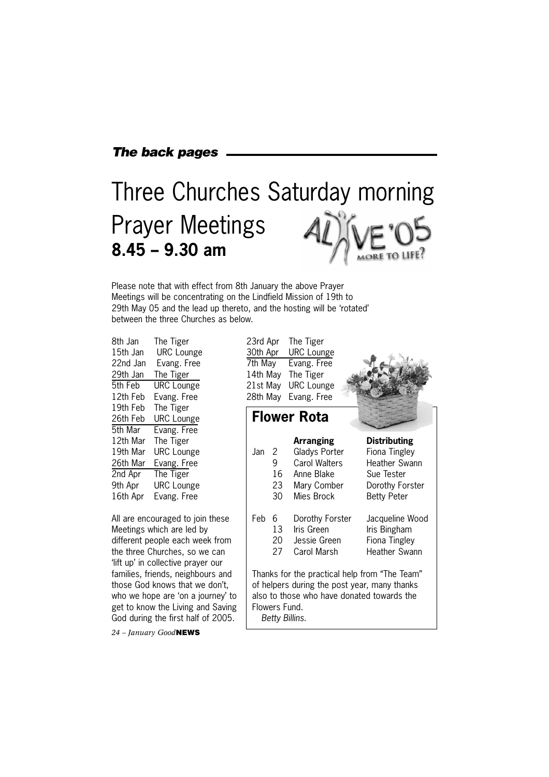### *The back pages*

# Three Churches Saturday morning Prayer Meetings **8.45 – 9.30 am**

Please note that with effect from 8th January the above Prayer Meetings will be concentrating on the Lindfield Mission of 19th to 29th May 05 and the lead up thereto, and the hosting will be 'rotated' between the three Churches as below.

| 8th Jan  | The Tiger         |
|----------|-------------------|
| 15th Jan | <b>URC</b> Lounge |
| 22nd Jan | Evang. Free       |
| 29th Jan | The Tiger         |
| 5th Feb  | <b>URC</b> Lounge |
| 12th Feb | Evang. Free       |
| 19th Feb | The Tiger         |
| 26th Feb | <b>URC</b> Lounge |
| 5th Mar  | Evang. Free       |
| 12th Mar | The Tiger         |
| 19th Mar | <b>URC</b> Lounge |
| 26th Mar | Evang. Free       |
| 2nd Apr  | The Tiger         |
| 9th Apr  | <b>URC</b> Lounge |
| 16th Apr | Evang. Free       |
|          |                   |

All are encouraged to join these Meetings which are led by different people each week from the three Churches, so we can 'lift up' in collective prayer our families, friends, neighbours and those God knows that we don't, who we hope are 'on a journey' to get to know the Living and Saving God during the first half of 2005.

*24 – January Good***NEWS**

23rd Apr The Tiger 30th Apr URC Lounge 7th May Evang. Free 14th May The Tiger 21st May URC Lounge 28th May Evang. Free



**Flower Rota**

| .Jan | 2.<br>9<br>16<br>23<br>30       | Arranging<br>Gladys Porter<br>Carol Walters<br>Anne Blake<br>Mary Comber<br>Mies Brock                                                      | <b>Distributing</b><br>Fiona Tingley<br><b>Heather Swann</b><br>Sue Tester<br>Dorothy Forster<br><b>Betty Peter</b> |
|------|---------------------------------|---------------------------------------------------------------------------------------------------------------------------------------------|---------------------------------------------------------------------------------------------------------------------|
| Feb  | 6<br>13<br>20<br>27             | Dorothy Forster<br>Iris Green<br>Jessie Green<br>Carol Marsh                                                                                | Jacqueline Wood<br>Iris Bingham<br>Fiona Tingley<br>Heather Swann                                                   |
|      | Flowers Fund.<br>Betty Billins. | Thanks for the practical help from "The Team"<br>of helpers during the post year, many thanks<br>also to those who have donated towards the |                                                                                                                     |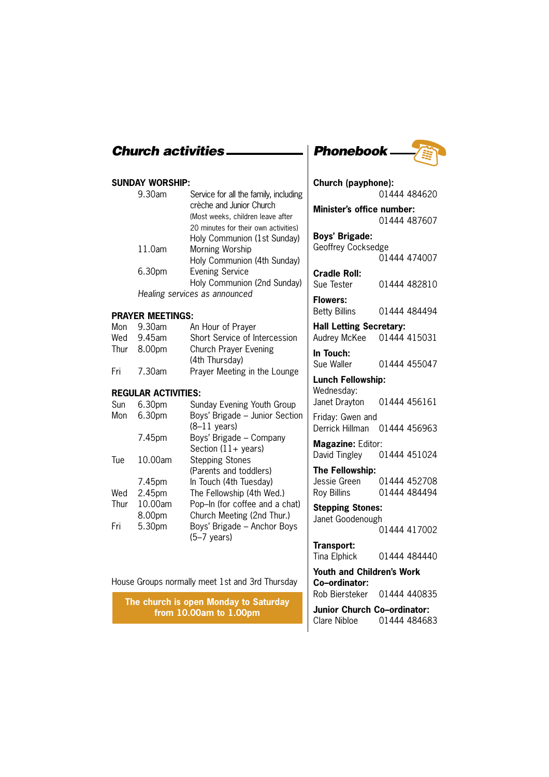### **SUNDAY WORSHIP:**

| 9.30am | Service for all the family, including<br>crèche and Junior Church |
|--------|-------------------------------------------------------------------|
|        | (Most weeks, children leave after                                 |
|        | 20 minutes for their own activities)                              |
|        | Holy Communion (1st Sunday)                                       |
| 11.0am | Morning Worship                                                   |
|        | Holy Communion (4th Sunday)                                       |
| 6.30pm | <b>Evening Service</b>                                            |
|        | Holy Communion (2nd Sunday)                                       |
|        | Healing services as announced                                     |

### **PRAYER MEETINGS:**

| Mon | 9.30am      | An Hour of Prayer             |
|-----|-------------|-------------------------------|
| Wed | 9.45am      | Short Service of Intercession |
|     | Thur 8.00pm | Church Prayer Evening         |
|     |             | (4th Thursday)                |
| Fri | 7.30am      | Prayer Meeting in the Lounge  |

### **REGULAR ACTIVITIES:**

| Sun  | 6.30pm  | Sunday Evening Youth Group     |
|------|---------|--------------------------------|
| Mon  | 6.30pm  | Boys' Brigade - Junior Section |
|      |         | $(8-11 \text{ years})$         |
|      | 7.45pm  | Boys' Brigade - Company        |
|      |         | Section $(11 + \text{years})$  |
| Tue  | 10.00am | <b>Stepping Stones</b>         |
|      |         | (Parents and toddlers)         |
|      | 7.45pm  | In Touch (4th Tuesday)         |
| Wed  | 2.45pm  | The Fellowship (4th Wed.)      |
| Thur | 10.00am | Pop-In (for coffee and a chat) |
|      | 8.00pm  | Church Meeting (2nd Thur.)     |
| Fri  | 5.30pm  | Boys' Brigade - Anchor Boys    |
|      |         | $(5-7 \text{ years})$          |

House Groups normally meet 1st and 3rd Thursday

**The church is open Monday to Saturday from 10.00am to 1.00pm**



| Church (payphone):                 |              |  |  |
|------------------------------------|--------------|--|--|
|                                    | 01444 484620 |  |  |
| Minister's office number:          |              |  |  |
|                                    | 01444 487607 |  |  |
| <b>Boys' Brigade:</b>              |              |  |  |
| Geoffrey Cocksedge                 |              |  |  |
|                                    | 01444 474007 |  |  |
| <b>Cradle Roll:</b>                |              |  |  |
| Sue Tester                         | 01444 482810 |  |  |
| <b>Flowers:</b>                    |              |  |  |
| <b>Betty Billins</b>               | 01444 484494 |  |  |
| <b>Hall Letting Secretary:</b>     |              |  |  |
| Audrey McKee 01444 415031          |              |  |  |
| In Touch:                          |              |  |  |
| Sue Waller                         | 01444 455047 |  |  |
| <b>Lunch Fellowship:</b>           |              |  |  |
| Wednesday:                         |              |  |  |
| Janet Drayton                      | 01444 456161 |  |  |
| Friday: Gwen and                   |              |  |  |
| Derrick Hillman                    | 01444 456963 |  |  |
| <b>Magazine: Editor:</b>           |              |  |  |
| David Tingley                      | 01444 451024 |  |  |
| The Fellowship:                    |              |  |  |
| Jessie Green                       | 01444 452708 |  |  |
| <b>Roy Billins</b>                 | 01444 484494 |  |  |
| <b>Stepping Stones:</b>            |              |  |  |
| Janet Goodenough                   |              |  |  |
|                                    | 01444 417002 |  |  |
| Transport:                         |              |  |  |
| Tina Elphick                       | 01444 484440 |  |  |
| <b>Youth and Children's Work</b>   |              |  |  |
| Co-ordinator:                      |              |  |  |
| Rob Biersteker                     | 01444 440835 |  |  |
| <b>Junior Church Co-ordinator:</b> |              |  |  |
| <b>Clare Nibloe</b>                | 01444 484683 |  |  |